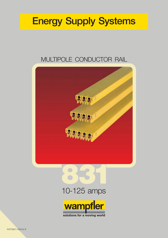# **Energy Supply Systems**

## MULTIPOLE CONDUCTOR RAIL





## 10-125 amps



solutions for a moving world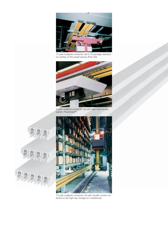

*13 pole multipole conductor rail in 33 package distribution centres of the postal service (Post AG)*



*9 pole multipole conductor rail with data transmission system Powertrans®*





*13 pole multipole conductor rail with double current collectors in the high bay storage of a warehouse.*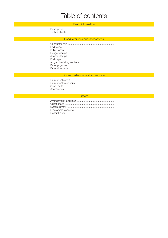## Table of contents

### **Experimental Service Control of the Control Basic information** and the Control of the Control of the Control of

### Conductor rails and accessories

#### Current collectors and accessories

### *Communication Communication Communication Communication Communication Communication Communication Communication Communication Communication Communication Communication*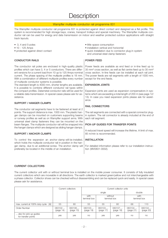## Description

### Wampfler multipole conductor rail programme 831

The Wampfler multipole conductor rail programme 831 is protected against direct contact and designed as a flat profile. This system is recommended for high storage bays, cranes, transport trolleys and special machinery. The Wampfler multipole conductor rail can be used for energy and data transmission on indoor and weather protected outdoor applications with straight track layouts.

- 3, 4 and 5-poles
- 10 125 Amps
- protected against direct contact

### **CONDUCTOR RAILS**

The conductor rail poles are enclosed in high-quality plastic profiles which can have 3, 4 or 5 conductors. There are different versions for a current load from 10 up to 125 Amps nominal current. The phase spacing of the multipole profiles is 18 mm. With a combination of different multipole profiles every number of multipole conductor systems is possible.

The standard length is 4000 mm, shorter lengths are available. It is possible to combine different conductor rail types within the compact profiles. Datametal conductor rails will be used for a reliable data transmission. In special cases please ask for assistance.

### **SUPPORT / HANGER CLAMPS**

The conductor rail segments have to be fastened at least at 2 points. The support distance is max. 1000 mm. The plastic hanger clamps can be mounted on customers supporting beams or runway profiles as well as on Wampfler support arms. With universal steel clamp fasteners they can be mounted on the beam flanges. The multipole conductor rail will be snapped into the hanger clamps which are designed as sliding hanger clamps.

#### **SUPPORT / ANCHOR CLAMPS**

To control the expansion an anchor clamp will be installed, which holds the multipole conductor rail in position in the hanger clamp, due to an additional screw. The anchor clamp will preferably be located in the middle of an installation.

- little space consumption
- installation vertical and horizontal
- quick installation due to connector plug-in system and universal steel clamp fasteners

### **POWER FEED**

Power feeds are available as end feed or in-line feed up to 35 mm² cross section, as well as flat centre feed up to 35 mm² cross section. In-line feeds can be installed at each rail joint. The power feeds are rail segments with a length of 1000 mm, except for the end feeds.

#### **EXPANSION JOINTS**

Expansion joints are used as expansion compensators in systems which are exceeding a total length of 200 m (see page 12/ 13). In case you need expansion joints please ask for assistance.

### **RAIL CONNECTORS**

The rail segments are connected with a special connector plugin system. The rail connector is already included at the end of each rail segment.

#### **PICK-UP GUIDES FOR TRANSFER POINTS**

A reduced travel speed will increase the lifetime. A limit of max. 85 m/min is recommended.

#### **INSTALLATION**

For detailed information please refer to our installation instruction (MV0831-0002).

#### **CURRENT COLLECTORS**

The current collector unit with or without terminal box is installed on the mobile power consumer. It consists of fully insulated current collectors which are moveable in all directions. The earth collector is marked green/yellow and not interchangeable with a phase collector. Collector shoes can be checked without disassembling and can be replaced quick and easily. In special cases please ask for assistance.

|                                                |                      | Current collectors   | Current collector units |                         |                      |                      |                      |
|------------------------------------------------|----------------------|----------------------|-------------------------|-------------------------|----------------------|----------------------|----------------------|
|                                                |                      |                      |                         | single                  |                      |                      | double               |
|                                                |                      |                      | with<br>terminal box    | without<br>terminal box |                      | with<br>terminal box |                      |
| max. current at 100% duty cycle [A]            | 55                   | 80                   | 55                      | 55                      | 80                   | 68                   | 110                  |
| Order-Number                                   | 083102-<br>(page 14) | 083106-<br>(page 15) | 083103-<br>(page 19)    | 083103-<br>(page 17)    | 083107-<br>(page 18) | 083104-<br>(page 21) | 083104-<br>(page 20) |
| also for pick-up guides<br>for transfer points | yes                  | yes                  | no                      | yes                     | yes                  | no                   | no                   |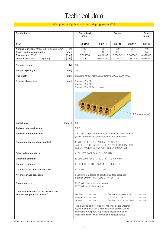## Technical data

### Wampfler multipole conductor rail programme 831

| Conductor rail                                                           | Galvanized<br>steel                                                                                                                                                                                                                  | Copper   |                                                                       |           | Data-<br>metal                      |  |
|--------------------------------------------------------------------------|--------------------------------------------------------------------------------------------------------------------------------------------------------------------------------------------------------------------------------------|----------|-----------------------------------------------------------------------|-----------|-------------------------------------|--|
| <b>Type</b>                                                              | 083112                                                                                                                                                                                                                               | 083115   | 083116                                                                | 083117    | 083118                              |  |
| Nominal current at 100% duty cycle and 35°C<br>[A]                       | 32                                                                                                                                                                                                                                   | 60       | 100                                                                   | $125^{1}$ | 10                                  |  |
| Cross section of conductor<br>$[mm^2]$                                   | 25                                                                                                                                                                                                                                   | 16       | 25                                                                    | 35        | 25                                  |  |
| Resistance at 35°C<br>$\lceil \Omega/m \rceil$                           | 0.005506                                                                                                                                                                                                                             | 0.001182 | 0.000745                                                              | 0.000540  | 0.029313                            |  |
| [ $\Omega/m$ ]<br>Impedance at 18 mm rail spacing                        | 0.005507                                                                                                                                                                                                                             | 0.001185 | 0.000750                                                              | 0.000548  | 0.029314                            |  |
| Nominal voltage<br>[V]                                                   | 500                                                                                                                                                                                                                                  |          |                                                                       |           |                                     |  |
| Support spacing max.<br>[mm]                                             | 1000                                                                                                                                                                                                                                 |          |                                                                       |           |                                     |  |
| Rail length<br>[mm]                                                      | Standard 4000; intermediate lengths 3000, 2000, 1000                                                                                                                                                                                 |          |                                                                       |           |                                     |  |
| <b>External dimensions</b><br>[mm]                                       | 3-poles: 26 x 62<br>4-poles: 26 x 80<br>5-poles: 26 x 98 (see picture)                                                                                                                                                               |          |                                                                       |           |                                     |  |
|                                                                          |                                                                                                                                                                                                                                      |          |                                                                       |           | PE (green stripe)                   |  |
| Speed max.<br>[m/min]                                                    | 600                                                                                                                                                                                                                                  |          |                                                                       |           |                                     |  |
| Ambient temperature max.                                                 | $55^{\circ}$ C                                                                                                                                                                                                                       |          |                                                                       |           |                                     |  |
| Ambient temperature min.                                                 | 0 to -18°C; depends on the type of standard conductor rail;<br>(special designs for deeper temperatures on request)                                                                                                                  |          |                                                                       |           |                                     |  |
| Protection against direct contact                                        | to VDE 0470 Part 1 / EN 60 529 / IEC 529<br>and DIN 57 100 Part 410 5.2.1 / 5.3 / VDE 0100 Part 410<br>and DIN / VDE 0100 Part 726.4 and EN 60 204 Part 1                                                                            |          |                                                                       |           |                                     |  |
| Other safety standards                                                   | to DIN VDE 0609 Part 101 / IEC 17B                                                                                                                                                                                                   |          |                                                                       |           |                                     |  |
| Dielectric strength                                                      | to VDE 0303 Part 21 / IEC 243<br>22,4 kV/mm                                                                                                                                                                                          |          |                                                                       |           |                                     |  |
| Surface resitance                                                        | to DIN IEC 112 VDE 0303 T1<br>$600 < C$ TI                                                                                                                                                                                           |          |                                                                       |           |                                     |  |
| Combustibility of insulation cover                                       | to UL 94                                                                                                                                                                                                                             | $V - 0$  |                                                                       |           |                                     |  |
| Air and surface creepage                                                 | depending on degree of pollution; surface creepage<br>distance 30 mm to DIN VDE 0110 Part $1 + 2$                                                                                                                                    |          |                                                                       |           |                                     |  |
| Protection type                                                          | IP 23 with horizontal arrangement<br>IP 21 with vertical arrangement                                                                                                                                                                 |          |                                                                       |           |                                     |  |
| Chemical resistance of the profile at an<br>ambient temperature of +45°C | Benzine<br>resistant<br>Mineral oil<br>resistant<br>Grease<br>resistant                                                                                                                                                              |          | Sodium hydroxide 25%<br>Hydrochlorid acid<br>Sulphuric acid up to 50% |           | resistant<br>resistant<br>resistant |  |
|                                                                          | The materials of the conductor rail systems are weather<br>resistant and have got a high resistance against certain<br>chemicals. For special applications please contact us.<br>Please be careful with solvents and contact sprays. |          |                                                                       |           |                                     |  |

Note: Additional informations on request.

1) 140 A at 80% duty cycle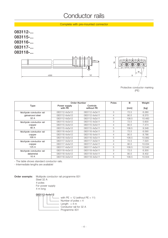## Conductor rails

Complete with pre-mounted connector

**083112-... 083115-... 083116-... 083117-... 083118-...**





|                          | Order-Number            | Poles                  | B              | Weight |        |
|--------------------------|-------------------------|------------------------|----------------|--------|--------|
| Type                     | Power supply<br>with PE | Controls<br>without PE |                | [mm]   | [kg]   |
| Multipole conductor rail | 083112-4x3x12           | 083112-4x3x11          | 3              | 72.5   | 6.280  |
| galvanized steel         | 083112-4x4x12           | 083112-4x4x11          | 4              | 90.5   | 8.370  |
| 32 A                     | 083112-4x5x12           | 083112-4x5x11          | 5              | 108.5  | 10.460 |
| Multipole conductor rail | 083115-4x3x12           | 083115-4x3x11          | 3              | 72.5   | 5.600  |
| copper                   | 083115-4x4x12           | 083115-4x4x11          | 4              | 90.5   | 7.474  |
| 60 A                     | 083115-4x5x12           | 083115-4x5x11          | 5              | 108.5  | 9.348  |
| Multipole conductor rail | 083116-4x3x12           | 083116-4x3x11          | 3              | 72.5   | 6.590  |
| copper                   | 083116-4x4x12           | 083116-4x4x11          | 4              | 90.5   | 8.786  |
| 100 A                    | 083116-4x5x12           | 083116-4x5x11          | 5              | 108.5  | 10.982 |
| Multipole conductor rail | 083117-4x3x12           | 083117-4x3x11          | 3              | 72.5   | 7.520  |
| copper                   | 083117-4x4x12           | 083117-4x4x11          | $\overline{4}$ | 90.5   | 10.034 |
| 125A                     | 083117-4x5x12           | 083117-4x5x11          | 5              | 108.5  | 12.540 |
| Multipole conductor rail | 083118-4x3x12           | 083118-4x3x11          | 3              | 72.5   | 6.300  |
| datametal                | 083118-4x4x12           | 083118-4x4x11          | 4              | 90.5   | 8.402  |
| 10 A                     | 083118-4x5x12           | 083118-4x5x11          | 5              | 108.5  | 10.504 |

- The table shows standard conductor rails.

- Intermediate lengths are available!

**Order exemple:** Multipole conductor rail programme 831 Steel 32 A 4-poles For power supply 4 m long

**083112-4x4x12**

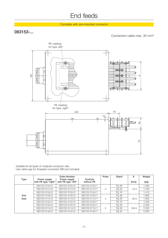## End feeds

### Complete with pre-mounted connector

## **083153-...**

Connection cable max. 35 mm²



- Suitable for all types of multipole conductor rails

- Use cable lugs for threaded connection M8 (not included)

|             | Order-Number                         |                                     |                        | Poles | Gland | A     | Weight |
|-------------|--------------------------------------|-------------------------------------|------------------------|-------|-------|-------|--------|
| <b>Type</b> | Power supply<br>with PE type "right" | Power supply<br>with PE type "left" | Controls<br>without PE |       |       | [mm]  | [kg]   |
|             | 083153-310x12                        | 083153-310x13                       | 083153-310x11          |       | Pg 36 |       | 1.460  |
|             | 083153-311x12                        | 083153-311x13                       | 083153-311x11          | 3     | Pg 29 | 72.5  | 1.430  |
|             | 083153-312x12                        | 083153-312x13                       | 083153-312x11          |       | Pg 16 |       | 1.410  |
| End         | 083153-410x12                        | 083153-410x13                       | 083153-410x11          |       | Pg 36 |       | 1.985  |
| feed        | 083153-411x12                        | 083153-411x13                       | 083153-411x11          | 4     | Pg 29 | 90.5  | 1.955  |
|             | 083153-412x12                        | 083153-412x13                       | 083153-412x11          |       | Pg 16 |       | 1.935  |
|             | 083153-510x12                        | 083153-510x13                       | 083153-510x11          |       | Pg 36 |       | 2.330  |
|             | 083153-511x12                        | 083153-511x13                       | 083153-511x11          | 5     | Pg 29 | 108.5 | 2.300  |
|             | 083153-514x12                        | 083153-514x13                       | 083153-514x11          |       | Pg 42 |       | 2.365  |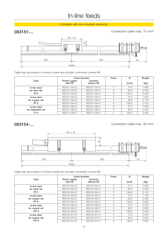## In-line feeds

Complete with pre-mounted connector

## **083151-...**

Connection cable max. 10 mm²



Cable lugs (according to nominal current) are included; connection screws M5

|                    |                         | Order-Number           | Poles | B     | Weight |
|--------------------|-------------------------|------------------------|-------|-------|--------|
| Type               | Power supply<br>with PE | Controls<br>without PE |       | [mm]  | [kg]   |
| In-line feed       | 083151-32x12            | 083151-32x11           | 3     | 72.5  | 1.800  |
| for steel rail     | 083151-42x12            | 083151-42x11           | 4     | 90.5  | 2.400  |
| 32A                | 083151-52x12            | 083151-52x11           | 5     | 108.5 | 3.000  |
| In-line feed       | 083151-35x12            | 083151-35x11           | 3     | 72.5  | 1.630  |
| for copper rail    | 083151-45x12            | 083151-45x11           | 4     | 90.5  | 2.175  |
| 60 A               | 083151-55x12            | 083151-55x11           | 5     | 108.5 | 2.720  |
| In-line feed       | 083151-38x12            | 083151-38x11           | 3     | 72.5  | 1.800  |
| for datametal rail | 083151-48x12            | 083151-48x11           | 4     | 90.5  | 2.400  |
| 10 A               | 083151-58x12            | 083151-58x11           | 5     | 108.5 | 3.000  |

### **083154-...**

Connection cable max. 35 mm²



Cable lugs (according to nominal current) are included; connection screws M6

|                 |                         | Order-Number           | Poles | в     | Weight |
|-----------------|-------------------------|------------------------|-------|-------|--------|
| <b>Type</b>     | Power supply<br>with PE | Controls<br>without PE |       | [mm]  | [kg]   |
| In-line feed    | 083154-32x12            | 083154-32x11           | 3     | 72.5  | 1.925  |
| for steel rail  | 083154-42x12            | 083154-42x11           | 4     | 90.5  | 2.525  |
| 32 A            | 083154-52x12            | 083154-52x11           | 5     | 108.5 | 3.120  |
| In-line feed    | 083154-35x12            | 083154-35x11           | 3     | 72.5  | 1.750  |
| for copper rail | 083154-45x12            | 083154-45x11           | 4     | 90.5  | 2.300  |
| 60 A            | 083154-55x12            | 083154-55x11           | 5     | 108.5 | 2.850  |
| In-line feed    | 083154-36x12            | 083154-36x11           | 3     | 72.5  | 2.010  |
| for copper rail | 083154-46x12            | 083154-46x11           | 4     | 90.5  | 2.630  |
| 100 A           | 083154-56x12            | 083154-56x11           | 5     | 108.5 | 3.250  |
| In-line feed    | 083154-37x12            | 083154-37x11           | 3     | 72.5  | 2.240  |
| for copper rail | 083154-47x12            | 083154-47x11           | 4     | 90.5  | 2.940  |
| 125 A           | 083154-57x12            | 083154-57x11           | 5     | 108.5 | 3.650  |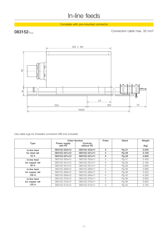## In-line feeds

Complete with pre-mounted connector

## **083152-...**

Connection cable max. 35 mm²



Use cable lugs for threaded connection M8 (not included)

|                 |                         | Order-Number           | Poles | Gland | Weight |
|-----------------|-------------------------|------------------------|-------|-------|--------|
| <b>Type</b>     | Power supply<br>with PE | Controls<br>without PE |       |       | [kg]   |
| In-line feed    | 083152-323x12           | 083152-323x11          | 3     | Pg 21 | 3.000  |
| for steel rail  | 083152-421x12           | 083152-421x11          | 4     | Pg 29 | 3.720  |
| 32 A            | 083152-521x12           | 083152-521x11          | 5     | Pg 29 | 4.600  |
| In-line feed    | 083152-353x12           | 083152-353x11          | 3     | Pg 21 | 2.430  |
| for copper rail | 083152-451x12           | 083152-451x11          | 4     | Pg 29 | 3.190  |
| 60 A            | 083152-551x12           | 083152-551x11          | 5     | Pg 29 | 3.950  |
| In-line feed    | 083152-360x12           | 083152-360x11          | 3     | Pg 36 | 2.680  |
| for copper rail | 083152-460x12           | 083152-460x11          | 4     | Pg 36 | 3.520  |
| 100 A           | 083152-564x12           | 083152-564x11          | 5     | Pg 42 | 4.350  |
| In-line feed    | 083152-370x12           | 083152-370x11          | 3     | Pg 36 | 2.920  |
| for copper rail | 083152-470x12           | 083152-470x11          | 4     | Pg 36 | 3.830  |
| 125 A           | 083152-574x12           | 083152-574x11          | 5     | Pg 42 | 4.730  |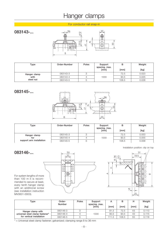## Hanger clamps

### For conductor rail snap-in

## **083143-...**



| Type         | Order-Number | Poles | Support<br>spacing, max.<br>[mm] | в<br>[mm] | Weight<br>[kg] |
|--------------|--------------|-------|----------------------------------|-----------|----------------|
| Hanger clamp | 083143-3     |       |                                  | 72.5      | 0.023          |
| with         | 083143-4     | 4     | 1000                             | 90.5      | 0.025          |
| steel nut    | 083143-5     | b     |                                  | 108.5     | 0.028          |

## **083145-...**



| Type                     | Order-Number | Poles | Support<br>spacing, max.<br>[mm] | в<br>[mm] | Weight<br>[kg] |
|--------------------------|--------------|-------|----------------------------------|-----------|----------------|
| Hanger clamp             | 083145-3     |       |                                  | 72.5      | 0.053          |
| for                      | 083145-4     |       | 1000                             | 90.5      | 0.055          |
| support arm installation | 083145-5     | b     |                                  | 108.5     | 0.058          |



| Type                            | Order-<br>Number | Poles | Support<br>spacing, max.<br>[mm] | А<br>[mm] | в<br>[mm] | н<br>[mm] | Weight<br>[kg] |
|---------------------------------|------------------|-------|----------------------------------|-----------|-----------|-----------|----------------|
| Hanger clamp with               | 083146-3         |       |                                  | 81.5      | 72.5      | 43        | 0.113          |
| universal steel clamp fastener* | 083146-4         |       | 1000                             | 90.5      | 90.5      | 43        | 0.115          |
| for vertical installation       | 083146-5         |       |                                  | 111.5     | 108.5     | 55        | 0.118          |

\* = Universal steel clamp fastener; galvanized; clamping range 8 to 36 mm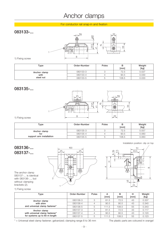## Anchor clamps

### For conductor rail snap-in and fixation

## **083133-...**



### 1) Fixing screw

| Type         | Order-Number | Poles | в<br>[mm] | Weight<br>$[kg] % \begin{center} % \includegraphics[width=\linewidth]{imagesSupplemental_3.png} % \end{center} % \caption { % Our method is used for the method. % The method is used for the method. % The method is used for the method. % The method is used for the method. % The method is used for the method. % The method is used for the method. % The method is used for the method. % The method is used for the method. % The method is used for the method. % The method is used for the method. % The method is used for the method. % The method is used for the method. % The method is used for the method. % The method is used for the method. % The method is used for the method. % The method is used for the method. % The method is used for the method. % The method is used for the method. % The method is used for the method. % The method is used for the method. % The method is$ |
|--------------|--------------|-------|-----------|------------------------------------------------------------------------------------------------------------------------------------------------------------------------------------------------------------------------------------------------------------------------------------------------------------------------------------------------------------------------------------------------------------------------------------------------------------------------------------------------------------------------------------------------------------------------------------------------------------------------------------------------------------------------------------------------------------------------------------------------------------------------------------------------------------------------------------------------------------------------------------------------------------------|
| Anchor clamp | 083133-3     |       | 72.5      | 0.027                                                                                                                                                                                                                                                                                                                                                                                                                                                                                                                                                                                                                                                                                                                                                                                                                                                                                                            |
| with         | 083133-4     |       | 90.5      | 0.030                                                                                                                                                                                                                                                                                                                                                                                                                                                                                                                                                                                                                                                                                                                                                                                                                                                                                                            |
| steel nut    | 083133-5     |       | 108.5     | 0.033                                                                                                                                                                                                                                                                                                                                                                                                                                                                                                                                                                                                                                                                                                                                                                                                                                                                                                            |

### **083135-...**



1) Fixing screw

| Type                     | Order-Number | Poles | в<br>[mm] | Weight<br>[kg] |
|--------------------------|--------------|-------|-----------|----------------|
| Anchor clamp             | 083135-3     |       | 72.5      | 0.057          |
| for                      | 083135-4     |       | 90.5      | 0.060          |
| support arm installation | 083135-5     |       | 108.5     | 0.063          |

## **083136-... 083137-...**

The anchor clamp 083137-... is identical with 083136-..., but without clamping brackets (2).





### 1) Fixing screw

| Type                           | Order-Number | Poles | A<br>[mm] | в<br>[mm] | н<br>[mm] | Weight<br>[kg] |
|--------------------------------|--------------|-------|-----------|-----------|-----------|----------------|
| Anchor clamp                   | 083136-3     |       | 81.5      | 72.5      | 43        | 0.337          |
| with shim                      | 083136-4     |       | 90.5      | 90.5      | 43        | 0.340          |
| and universal clamp fastener*  | 083136-5     |       | 111.5     | 108.5     | 55        | 0.343          |
| Anchor clamp                   | 083137-3     | ◠     | 81.5      | 72.5      | 43        | 0.117          |
| with universal clamp fastener* | 083137-4     |       | 90.5      | 90.5      | 43        | 0.120          |
| for systems up to 60 m length  | 083137-5     | 5     | 111.5     | 108.5     | 55        | 0.123          |

\* = Universal steel clamp fastener; galvanized; clamping range 8 to 36 mm The plastic parts are coloured in orange!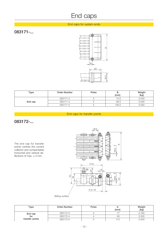## End caps

### End caps for system ends

## **083171-...**



| Type    | Order-Number | Poles | в<br>[mm] | Weight<br>[kg] |
|---------|--------------|-------|-----------|----------------|
|         | 083171-3     |       | 72.5      | 0.040          |
| End cap | 083171-4     |       | 90.5      | 0.045          |
|         | 083171-5     | U     | 108.5     | 0.050          |

### End caps for transfer points

**083172-...**

The end cap for transfer points centres the current collector and compensates horizontal and vertical deflections of max.  $\pm$  3 mm.



| Sliding surface |
|-----------------|

| Type            | Order-Number | Poles | [mm] | Weight<br>[kg] |
|-----------------|--------------|-------|------|----------------|
| End cap         | 083172-3     |       |      | 0.160          |
| for             | 083172-4     |       | 95   | 0.200          |
| transfer points | 083172-5     |       | 13   | 0.240          |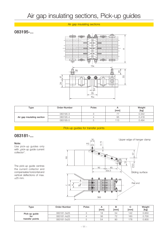## Air gap insulating sections, Pick-up guides

### Air gap insulating sections

## **083195-...**



| Type                       | Order-Number | Poles | [mm] | Weight<br>[kg] |
|----------------------------|--------------|-------|------|----------------|
|                            | 083195-3     | ι.    |      | 0.342          |
| Air gap insulating section | 083195-4     |       | 95   | 0.418          |
|                            | 083195-5     |       | 113  | 0.494          |

Pick-up guides for transfer points

## **083181-...**

#### **Note:**

Use pick-up guides only with "pick-up guide current collector".

The pick-up guide centres the current collector and compensates horizontal and vertical deflections of max.  $±25$  mm.



| Type            | Order-Number | Poles | [mm] | в<br>[mm] | [mm] | Weight<br>[kg] |
|-----------------|--------------|-------|------|-----------|------|----------------|
| Pick-up guide   | 083181-3x25  |       |      | 54        | 142  | 0.650          |
| for             | 083181-4x25  |       | 36   | 70        | 160  | 0.700          |
| transfer points | 083181-5x25  |       | 54   | 90        | 178  | 0.800          |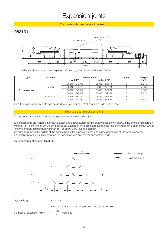## Expansion joints

Complete with pre-mounted connector

## **083161-...**



1) Hanger clamps to be ordered separately! Connecting cables have to be installed flexible.

| Type                   | Material  |               | Order-Number  | Poles | Weight |
|------------------------|-----------|---------------|---------------|-------|--------|
|                        |           | with PE       | without PE    |       | [kg]   |
|                        |           | 083161-2x6372 | 083161-2x6371 |       | 5.610  |
| <b>Expansion joint</b> | Copper    | 083161-2x6472 | 083161-2x6471 |       | 7.480  |
|                        |           | 083161-2x6572 | 083161-2x6571 |       | 9.350  |
|                        |           | 083161-2x2382 | 083161-2x2381 |       | 2.810  |
|                        | Datametal | 083161-2x2482 | 083161-2x2481 |       | 3.720  |
|                        |           | 083161-2x2582 | 083161-2x2581 |       | 4.680  |

Hint: Copper-Expansion joints can be used for all copper and steel conductor rails up to 125 A.

#### How to select expansion joints

The general principles how to select expansion joints are shown below:

Expansion joints are installed in systems exceeding a total system length of 200 m as shown below, if the ambient temperature variation ( $\Delta T$ ) is more than 20°C during operation. Expansion joints are not required if the total system length is shorter than 200 m or if the ambient temperature variation  $(\Delta T)$  is below 20°C during operation.

An anchor clamp in the middle of the system halfes the expansion travel and eases positioning of the hanger clamps. Pay attention to the distance between the hanger clamps and the rail connectors (page 24).

#### **Determination of system length L:**



 $m =$  number of system part lengths with one expansion joint

Number of expansion joints:  $m = \frac{L-200}{2}$  (rounded) a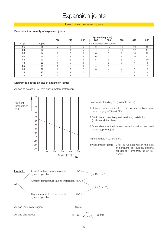## Expansion joints

#### How to select expansion joints

#### **Determination quantity of expansion joints:**

|                 |       |     |                              |     |                          | System length [m] |                |                |     |
|-----------------|-------|-----|------------------------------|-----|--------------------------|-------------------|----------------|----------------|-----|
|                 |       | 220 | 240                          | 260 | 280                      | 300               | 320            | 340            | 360 |
| $\Delta T$ [°C] | a [m] |     | $m =$ Expansion joint number |     |                          |                   |                |                |     |
| 65              | 11    | 2   | 4                            | 6   | 8                        | 10                | 11             | 13             | 15  |
| 60              | 12    | 2   | 4                            | 5   | $\overline{\phantom{0}}$ | 9                 | 10             | 12             | 14  |
| 55              | 14    | 2   | 3                            | 5   | 6                        | 8                 | 9              | 10             | 12  |
| 50              | 15    | 2   | 3                            | 4   | 6                        | $\overline{ }$    | 8              | 10             | 11  |
| 45              | 17    | 2   | 3                            | 4   | 5                        | 6                 | 8              | 9              | 10  |
| 40              | 20    |     | 2                            | 3   | 4                        | 5                 | 6              |                | 8   |
| 35              | 24    |     | 2                            | 3   | 4                        | 5                 | 5              | 6              | ⇁   |
| 30              | 31    |     | 2                            | 2   | 3                        | 4                 | 4              | 5              | 6   |
| 25              | 40    |     |                              | 2   | 2                        | 3                 | 3              | $\overline{4}$ | 4   |
| 20              | 60    |     |                              |     | 2                        | $\overline{2}$    | $\overline{2}$ | 3              | 3   |

#### **Diagram to set the air gap of expansion joints:**

Air gap to be set 0 - 50 mm during system installation.

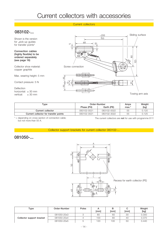#### Current collectors

## **083102-...**

Shown is the version for "pick-up guides for transfer points"

**Connection cables (highly flexible) to be ordered separately (see page 16)**

Collector shoe material: copper graphite

Max. wearing height: 5 mm

Contact pressure: 5 N

Deflection horizontal:  $\pm$  30 mm<br>vertical:  $\pm$  30 mm  $\pm$  30 mm



| Type                                  |             | Order-Number | Amps    | Weight |
|---------------------------------------|-------------|--------------|---------|--------|
|                                       | Phase (PH)  | Earth (PE)   | $max.*$ | [kg]   |
| Current collector                     | 083102-0021 | 083102-0022  | 55      | 0.120  |
| Current collector for transfer points | 083102-3021 | 083102-3022  | 55      | 0.125  |

but not more than 55 A.

\* = depending on cross section of connection cable; The current collectors are **not** for use with programme 811!

Collector support brackets for current collector 083102-...

### **081050-...**



| Type                      | Order-Number | <b>Poles</b> | [mm] | в<br>[mm] | [mm] | Weight<br>[kg] |
|---------------------------|--------------|--------------|------|-----------|------|----------------|
|                           | 081050-20x3  |              | 80   | 60        | 30   | 0.300          |
| Collector support bracket | 081050-20x4  |              | 100  | 80        | 4C   | 0.370          |
|                           | 081050-20x5  |              | 120  | 100       | 50   | 0.440          |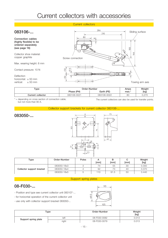## Current collectors with accessories

### Current collectors



| $\tau$ ype        | Order-Number |             | Amps |                 |
|-------------------|--------------|-------------|------|-----------------|
|                   | Phase (PH)   | Earth (PE)  | max. | [kg]            |
| Current collector | 083106-0021  | 083106-0022 | 80   | 127C<br>U.Z I U |
|                   |              |             |      |                 |

\* = depending on cross section of connection cable; The current collectors can also be used for transfer points. but not more than 80 A.

#### Collector support brackets for current collector 083106-...



| $_{\rm Type}$             | Order-Number | <b>Poles</b> | [mm] | в<br>[mm] | [mm] | Weight<br>[kg] |
|---------------------------|--------------|--------------|------|-----------|------|----------------|
|                           | 083050-18x3  |              | 74   | 55        | 30   | 0.300          |
| Collector support bracket | 083050-18x4  |              | 92   | 73        | 4C   | 0.370          |
|                           | 083050-18x5  |              | 110  | 91.5      | 5C   | 0.440          |

#### Support spring plates

## **08-F030-...**

**083050-...**

- Position and type see current collector unit 083107-...
- for horizontal operation of the current collector unit
- use only with collector support bracket 083050-..



| ${\sf Type}$         |       | Order-Number | Weight<br>[kg] |  |
|----------------------|-------|--------------|----------------|--|
| Support spring plate | left  | 08-F030-0082 | 0.013          |  |
|                      | right | 08-F030-0079 | 0.013          |  |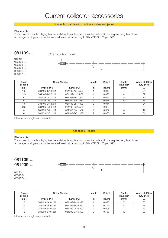Connection cable with multicore cable end jacket

#### **Please note:**

The connection cable is highly flexible and double insulated and must be ordered in the required length and size. Amperage for single-core cables installed free in air according to DIN VDE 57 100 part 523.

**081109-...**

Multicore cable end jacket

use for 083102-... 083103-... 083104-... 083106-... 083107-...



| Cross<br>section |                 | Order-Number      | Length           | Weight | Cable<br>diameter | Amps at 100%<br>duty cycle |
|------------------|-----------------|-------------------|------------------|--------|-------------------|----------------------------|
| $\text{[mm2]}$   | Phase (PH)      | Earth (PE)        | [ <sub>m</sub> ] | [kg/m] | [mm]              | [A]                        |
| 1.5              | 081109-1x1.5x11 | 081109-1x1,5x32   |                  | 0.014  |                   | 24                         |
| 2.5              | 081109-1x2.5x11 | 081109-1x2,5x32   |                  | 0.023  |                   | 32                         |
| 4                | 081109-1x4 x11  | 081109-1x4 x32    |                  | 0.037  | 5                 | 42                         |
| 6                | 081109-1x6 x11  | 081109-1x6 x32    |                  | 0.056  | 6                 | 54                         |
| 1.5              | 081109-2x1.5x11 | 081109-2x1,5x32   | 2                | 0.014  | 4                 | 24                         |
| 2.5              | 081109-2x2.5x11 | 081109-2x2,5x32   | 2                | 0.023  |                   | 32                         |
| 4                | 081109-2x4 x11  | 081109-2x4 x32    | 2                | 0.037  | 5                 | 42                         |
| 6                | 081109-2x6 x11  | 081109-2x6<br>x32 | 2                | 0.056  | 6                 | 54                         |

Intermediate lengths are available

#### Connection cable

#### **Please note:**

The connection cable is highly flexible and double insulated and must be ordered in the required length and size. Amperage for single-core cables installed free in air according to DIN VDE 57 100 part 523.

## **081109-... 081209-...**



use for 083106-... 083107-...

| Cross<br>section |                 | Order-Number    | Length           | Weight | Cable<br>diameter | Amps at 100%<br>duty cycle |
|------------------|-----------------|-----------------|------------------|--------|-------------------|----------------------------|
| $\text{[mm2]}$   | Phase (PH)      | Earth (PE)      | [ <sub>m</sub> ] | [kg/m] | [mm]              | [A]                        |
| 10               | 081109-1x10 x91 | 081109-1x10 x92 |                  | 0.098  |                   | 73                         |
| 16               | 081209-1x16 x81 | 081209-1x16 x82 |                  | 0.156  | 10                | 98                         |
| 10               | 081109-2x10 x91 | 081109-2x10 x92 |                  | 0.098  |                   | 73                         |
| 16               | 081209-2x16 x81 | 081209-2x16 x82 |                  | 0.156  | 10                | 98                         |

Intermediate lengths are available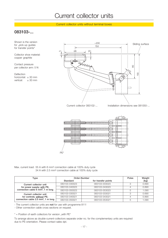Current collector units without terminal boxes

## **083103-...**

Shown is the version for "pick-up guides for transfer points"

Collector shoe material: copper graphite

Contact pressure per collector arm: 5 N

Deflection horizontal:  $\pm$  30 mm<br>vertical:  $\pm$  30 mm  $\pm$  30 mm



Current collector 083102-...

Installation dimensions see 081050-...



Max. current load: 55 A with 6 mm² connection cable at 100% duty cycle 34 A with 2.5 mm² connection cable at 100% duty cycle

| Type                                            | Order-Number  | <b>Poles</b>        | Weight |       |
|-------------------------------------------------|---------------|---------------------|--------|-------|
|                                                 | Standard      | for transfer points |        | [kg]  |
| Current collector unit                          | 083103-030023 | 083103-033023       | 3      | 0.690 |
| for power supply; with PE;                      | 083103-040023 | 083103-043023       |        | 0.890 |
| connection cable 6 mm <sup>2</sup> , 1 m long   | 083103-050023 | 083103-053023       | 5      | 1.090 |
| Current collector unit                          | 083103-030021 | 083103-033021       | З      | 0.690 |
| for controls; without PE;                       | 083103-040021 | 083103-043021       |        | 0.890 |
| connection cable 2.5 mm <sup>2</sup> , 1 m long | 083103-050021 | 083103-053021       | 5      | 1.090 |

- The current collector units are **not** for use with programme 811!

- Other connection cable cross sections on request.

 $*$  = Position of earth collectors for version "with PE"

To arrange above as double-current-collectors separate order no. for the complementary units are required due to PE-orientation. Please contact sales dpt.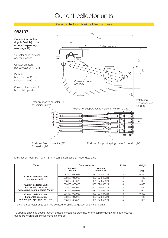Current collector units without terminal boxes

## **083107-...**



Max. current load: 80 A with 16 mm² connection cable at 100% duty cycle

| Type                                            | Order-Number       | Poles                 | Weight |       |
|-------------------------------------------------|--------------------|-----------------------|--------|-------|
|                                                 | Version<br>with PE | Version<br>without PE |        | [kg]  |
|                                                 | 083107-030023      | 083107-030021         | 3      | 0.860 |
| Current collector unit;<br>vertical operation   | 083107-040023      | 083107-040021         | 4      | 1.410 |
|                                                 | 083107-050023      | 083107-050021         | 5      | 1.960 |
| Current collector unit;                         | 083107-036023      | 083107-036021         | 3      | 0.890 |
| horizontal operation                            | 083107-046023      | 083107-046021         | 4      | 1.440 |
| with support spring plates "right"              | 083107-056023      | 083107-056021         | 5      | 1.990 |
| Current collector unit;<br>horizontal operation | 083107-037023      | 083107-037021         | 3      | 0.890 |
|                                                 | 083107-047023      | 083107-047021         | 4      | 1.440 |
| with support spring plates "left"               | 083107-057023      | 083107-057021         | 5      | 1.990 |

The current collector units can also be used for "pick-up guides for transfer points"

To arrange above as double-current-collectors separate order no. for the complementary units are required due to PE-orientation. Please contact sales dpt.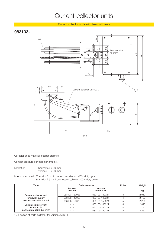Current collector units with terminal boxes

## **083103-...**



Collector shoe material: copper graphite

Contact pressure per collector arm: 5 N

Deflection horizontal: ± 30 mm<br>vertical: ± 30 mm  $\pm$  30 mm

Max. current load: 55 A with 6 mm² connection cable at 100% duty cycle 34 A with 2.5 mm² connection cable at 100% duty cycle

| Type                                 |                    | Order-Number          |   | Weight |
|--------------------------------------|--------------------|-----------------------|---|--------|
|                                      | Version<br>with PE | Version<br>without PE |   | [kg]   |
| Current collector unit               | 083103-130023      | 083103-130024         | 3 | 2.010  |
| for power supply;                    | 083103-140023      | 083103-140024         |   | 2.130  |
| connection cable 6 mm <sup>2</sup>   | 083103-150023      | 083103-150024         | 5 | 2.250  |
| Current collector unit               | - - -              | 083103-130021         | 3 | 2.010  |
| for controls;                        | - - -              | 083103-140021         | 4 | 2.130  |
| connection cable 2.5 mm <sup>2</sup> |                    | 083103-150021         |   | 2.250  |

 $*$  = Position of earth collector for version "with PE".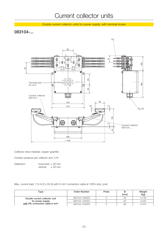Double current collector units for power supply; with terminal boxes

## **083104-...**



Collector shoe material: copper graphite

Contact pressure per collector arm: 5 N

Deflection horizontal: ± 30 mm vertical:  $\pm 30$  mm

Max. current load: 110 A (2 x 55 A) with 6 mm² connection cable at 100% duty cycle

| Type                                        | Order-Number  | Poles | [mm] | Weight<br>[kg] |
|---------------------------------------------|---------------|-------|------|----------------|
| Double current collector unit               | 083104-130023 |       | 40   | 4.130          |
| for power supply                            | 083104-140023 |       | 50   | 4.245          |
| with PE; connection cable 6 mm <sup>2</sup> | 083104-150023 |       | 60   | 4.370          |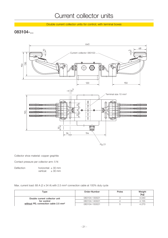Double current collector units for control; with terminal boxes

## **083104-...**



Collector shoe material: copper graphite

Contact pressure per collector arm: 5 N

Deflection horizontal: ± 30 mm vertical:  $\pm 30$  mm

Max. current load: 68 A (2 x 34 A) with 2.5 mm² connection cable at 100% duty cycle

| Type                                             | Order-Number  | Poles | Weight<br>[kg] |
|--------------------------------------------------|---------------|-------|----------------|
| Double current collector unit                    | 083104-130021 |       | 4.040          |
| for control                                      | 083104-140021 |       | 4.155          |
| without PE; connection cable 2.5 mm <sup>2</sup> | 083104-150021 |       | 4.270          |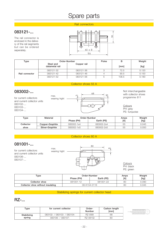## Spare parts

### Rail connectors

## **083121-...**

The rail connector is enclosed in the delivery of the rail segments but can be ordered seperately.



| Type           | Order-Number                |             | Poles | в     | Weight |
|----------------|-----------------------------|-------------|-------|-------|--------|
|                | Steel and<br>datametal rail | Copper rail |       | [mm]  | [kg]   |
| Rail connector | 083121-32                   | 083121-36   |       | 72.5  | 0.120  |
|                | 083121-42                   | 083121-46   |       | 90.5  | 0.150  |
|                | 083121-52                   | 083121-56   | b     | 108.5 | 0.180  |

### Collector shoes 55 A

wearing hight

## **083002-...**

for current collectors and current collector units 083102-... 083103-... 083104-...



Not interchangeable with collector shoes

**Colours** PH: grey PE: turquoise

| Type      | Material        |            | Order-Number | Amps | Weight |
|-----------|-----------------|------------|--------------|------|--------|
|           |                 | Phase (PH) | Earth (PE)   | [A]  | [kg]   |
| Collector | Copper-Graphite | 083002-1x4 | 083002-2x4   | 55   | 0.045  |
| shoe      | Silver-Graphite | 083002-1x5 | 083002-2x5   | 55   | 0.050  |

### Collector shoes 80 A

## **081001-...**

for current collectors and current collector units 083106-... 083107-...



**Colours** PH: black PE: green

| Type                              | Order-Number | Amps       | Weight |       |
|-----------------------------------|--------------|------------|--------|-------|
|                                   | Phase (PH)   | Earth (PE) | [A]    | [kg]  |
| Collector shoe                    | 081001-12    | 081001-22  | 80     | 0.090 |
| Collector shoe without insulating | 08-K154-0116 |            | 80     | 0.045 |

### Stabilizing springs for current collector head

## **RZ-...**

| Type        | for current collector       | Order-<br>Number | Carbon length<br>[mm] |  |
|-------------|-----------------------------|------------------|-----------------------|--|
| Stabilizing | 083102- / 083103- / 083104- | RZ-056L          | 68                    |  |
| spring      | 083106- / 083107-           | <b>RZ-081GL</b>  | 80                    |  |

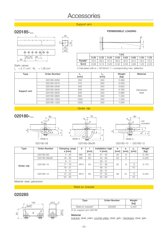## **Accessories**

#### Support arm

## **020185-... PERMISSIBLE LOADING**







|             | $  \mathsf{[m]}$ |      |      |      |      |      |      |      |  |  |
|-------------|------------------|------|------|------|------|------|------|------|--|--|
|             | 0.25             | 0.32 | 0.40 | 0.50 | 0.63 | 0.80 | 1.00 | 1.25 |  |  |
| $F[d a N]1$ | 76.0             | 59.5 | 47.5 | 38.0 | 30.0 | 24.0 | 19.0 | 15.2 |  |  |
| ficml       | 0.08             | 0.13 | 0.20 | 0.32 | 0.50 | 0.80 | 1.25 | 2.23 |  |  |

Static values:

 $I_x = 2,11$  cm<sup>4</sup>;  $W_x = 1,36$  cm<sup>3</sup>

#### 1) Calculated with  $\sigma = 140$  N/mm<sup>2</sup>; f = corresponding max. deflection

| <b>Type</b> | Order-Number | [mm] | [mm] | Weight<br>[kg] | Material   |
|-------------|--------------|------|------|----------------|------------|
|             | 020185-0250  | 250  | 200  | 0.390          |            |
|             | 020185-0315  | 315  | 260  | 0.500          |            |
|             | 020185-0400  | 400  | 340  | 0.625          |            |
| Support arm | 020185-0500  | 500  | 340  | 0.780          | Galvanized |
|             | 020185-0630  | 630  | 340  | 0.980          | steel      |
|             | 020185-0800  | 800  | 340  | 1.245          |            |
|             | 020185-1000  | 1000 | 340  | 1.550          |            |
|             | 020185-1250  | 1250 | 340  | 1.945          |            |

#### Girder clip







020180-08 020180-08x36 020180-10 / 020180-12

| Type        | Order-Number | Clamping range<br>$s$ [mm] | d               | $\lceil mm \rceil$ | Installation high<br>$h$ [mm] | b<br>[mm] | a<br>[mm] | s.<br>[mm]               | Weight<br>[kg] |
|-------------|--------------|----------------------------|-----------------|--------------------|-------------------------------|-----------|-----------|--------------------------|----------------|
|             | 020180-08    | $4 - 20$                   | M <sub>8</sub>  | 50                 | $31 - 40$                     | 30        | 6         |                          | 0.150          |
|             | 020180-08x36 | $18 - 36$                  | M <sub>8</sub>  | 65                 | $42 - 60$                     | 30        | 6         | ۰.                       | 0.220          |
|             | 020180-10    | $6 - 11$                   | M <sub>10</sub> |                    | $35 - 41$                     |           | 8         | $\sim$                   | 0.170          |
| Girder clip |              | $11 - 16$                  |                 | 50                 | $41 - 46$                     | 32        |           | 5                        |                |
|             |              | $16 - 21$                  |                 |                    | $46 - 51$                     |           |           | 10 <sup>°</sup>          |                |
|             |              | $6 - 14$                   |                 |                    | $39 - 47$                     |           |           | $\overline{\phantom{a}}$ |                |
|             | 020180-12    | $14 - 22$                  | M <sub>12</sub> | 60                 | $47 - 55$                     | 38        | 10        | 8                        | 0.240          |
|             |              | $22 - 30$                  |                 |                    | $55 - 63$                     |           |           | 16                       |                |

Material: steel, galvanized

### Weld-on bracket

## **020285**



| Type                          | Order-Number | Weight<br>[kq] |
|-------------------------------|--------------|----------------|
| Weld-on bracket <sup>2)</sup> | 020285       | 0.420          |

2) for support arm 020185

**Material**

bracket: steel, plain; counter plate: steel, galv.; Hardware: steel, galv.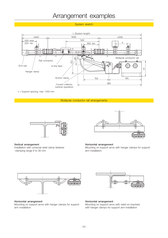## Arrangement examples

System sketch



x = Support spacing, max. 1000 mm

### Multipole conductor rail arrangements



**Vertical arrangement**

Installation with universal steel clamp fastener -clamping range 8 to 36 mm



#### **Horizontal arrangement** Mounting on support arms with hanger clamps for support arm installation



#### **Horizontal arrangement**

Mounting on support arms with hanger clamps for support arm installation



#### **Horizontal arrangement**

Mounting on support arms with weld-on brackets with hanger clamps for support arm installation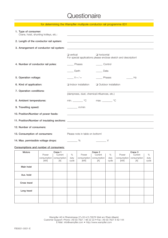## **Questionaire**

| for determining the Wampfler multipole conductor rail programme 831 |                                             |                                                                               |  |  |  |  |  |  |
|---------------------------------------------------------------------|---------------------------------------------|-------------------------------------------------------------------------------|--|--|--|--|--|--|
| 1. Type of consumer:<br>Crane, hoist, shunting trolleys, etc.:      |                                             | <u> 1989 - Johann John Stoff, market francuski filozof (</u>                  |  |  |  |  |  |  |
| 2. Length of the conductor rail system:                             |                                             |                                                                               |  |  |  |  |  |  |
| 3. Arrangement of conductor rail system:                            |                                             | <u> 1989 - Johann Stoff, amerikansk politiker (d. 1989)</u>                   |  |  |  |  |  |  |
|                                                                     | $\Box$ vertical                             | horizontal<br>For special applications please enclose sketch and description! |  |  |  |  |  |  |
| 4. Number of conductor rail poles:                                  | Phases                                      | Control                                                                       |  |  |  |  |  |  |
|                                                                     | Earth                                       | Data                                                                          |  |  |  |  |  |  |
| 5. Operation voltage:                                               | $V \approx / \equiv$                        | Phases<br>Hz                                                                  |  |  |  |  |  |  |
| 6. Kind of application:                                             | $\Box$ Indoor installation                  | □ Outdoor installation                                                        |  |  |  |  |  |  |
| 7. Operation conditions:                                            | (dampness, dust, chemical influences, etc.) |                                                                               |  |  |  |  |  |  |
| 8. Ambient temperatures:                                            | $min.$ $°C$                                 | max. <u>Comparent</u>                                                         |  |  |  |  |  |  |
| 9. Travelling speed:                                                | $\frac{1}{2}$ m/min                         |                                                                               |  |  |  |  |  |  |
| 10. Position/Number of power feeds:                                 |                                             |                                                                               |  |  |  |  |  |  |
|                                                                     |                                             |                                                                               |  |  |  |  |  |  |
| 12. Number of consumers:                                            |                                             |                                                                               |  |  |  |  |  |  |
| 13. Consumption of consumers:                                       | Please note in table on bottom!             |                                                                               |  |  |  |  |  |  |
| 14. Max. permissible voltage drops:                                 | $\frac{9}{6}$                               | V                                                                             |  |  |  |  |  |  |

### **Consumptions and number of consumers:**

| <b>Motors</b> | Crane 1     |             |       | Crane 2     |             |       | Crane 3     |             |       |
|---------------|-------------|-------------|-------|-------------|-------------|-------|-------------|-------------|-------|
|               | Power       | Current     | %     | Power       | Current     | $\%$  | Power       | Current     | $\%$  |
|               | consumption | consumption | duty  | consumption | consumption | duty  | consumption | consumption | duty  |
|               | [kW]        | [A]         | cycle | [kW]        | [A]         | cycle | [kW]        | [A]         | cycle |
| Main hoist    |             |             |       |             |             |       |             |             |       |
| Aux. hoist    |             |             |       |             |             |       |             |             |       |
| Cross travel  |             |             |       |             |             |       |             |             |       |
| Long travel   |             |             |       |             |             |       |             |             |       |
|               |             |             |       |             |             |       |             |             |       |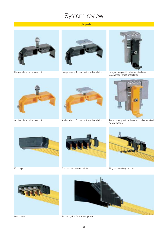## System review

### Single parts





Hanger clamp with steel nut Hanger clamp for support arm installation Hanger clamp with universal steel clamp



fastener for vertical installation





Anchor clamp with steel nut Anchor clamp for support arm installation



Anchor clamp with shimes and universal steel clamp fastener







End cap **End cap for transfer points** Air gap insulating section





Rail connector **Pick-up guide for transfer points**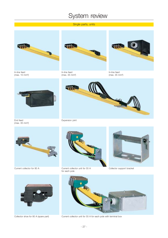## System review

### Single parts, units



In-line feed (max. 10 mm²)



In-line feed (max. 35 mm²)



In-line feed (max. 35 mm²)



End feed (max. 35 mm²)



Expansion joint





Current collector for 80 A Current collector unit for 55 A for each pole



Collector support bracket





Collector shoe for 80 A (spare part) Current collector unit for 55 A for each pole with terminal box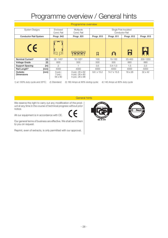## Programme overview / General hints

| Programme overview                              |                                     |                                                       |                                                |             |                |                |  |  |  |
|-------------------------------------------------|-------------------------------------|-------------------------------------------------------|------------------------------------------------|-------------|----------------|----------------|--|--|--|
| <b>System Designs</b>                           | Enclosed<br>Cond. Rail              | Multipole<br>Cond. Rail                               | Single Pole Insulated<br><b>Conductor Rail</b> |             |                |                |  |  |  |
| <b>Conductor Rail System</b>                    | Progr. 842                          | Progr. 831                                            | Progr. 815                                     | Progr. 811  | Progr. 812     | Progr. 813     |  |  |  |
| CE                                              | 부개                                  |                                                       | $\boxtimes$                                    | O           | H              |                |  |  |  |
| Nominal Current <sup>1)</sup><br>[A]            | $35 - 1403$                         | $10 - 1254$                                           | 100                                            | $10 - 100$  | 25-400         | 200-1250       |  |  |  |
| M<br><b>Voltage Grade</b>                       | 600                                 | 500                                                   | 500                                            | 500         | 660            | 660            |  |  |  |
| <b>Support Spacing</b><br>$\lceil m \rceil$     | 2                                   |                                                       | 0.5                                            | $0.4 - 1.0$ | 1.5            | 2,5            |  |  |  |
| Rail Length <sup>2)</sup><br>$\lceil mm \rceil$ | 4000                                | 4000                                                  | 4000                                           | 4000        | 4000           | 5000           |  |  |  |
| Outside-<br>[mm]<br><b>Dimensions</b>           | $5$ -pol.:<br>$7$ -pol.:<br>56 x 90 | 3-pol.: 26 x 62<br>4-pol.: 26 x 80<br>5-pol.: 26 x 98 | $9.6 \times 15.2$                              | 14.7 x 15.5 | $18 \times 26$ | $32 \times 42$ |  |  |  |

*1) at 100% duty cycle and 35ºC; 2) Standard; 3) 160 Amps at 80% duting cycle; 4) 140 Amps at 80% duty cycle*

General hints

We reserve the right to carry out any modification of the product at any time in the course of technical progress without prior notice.

All our equipment is in accordance with CE.

Our general terms of business are effective. We shall send them to you on request.

Reprint, even of extracts, is only permitted with our approval.



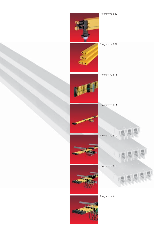